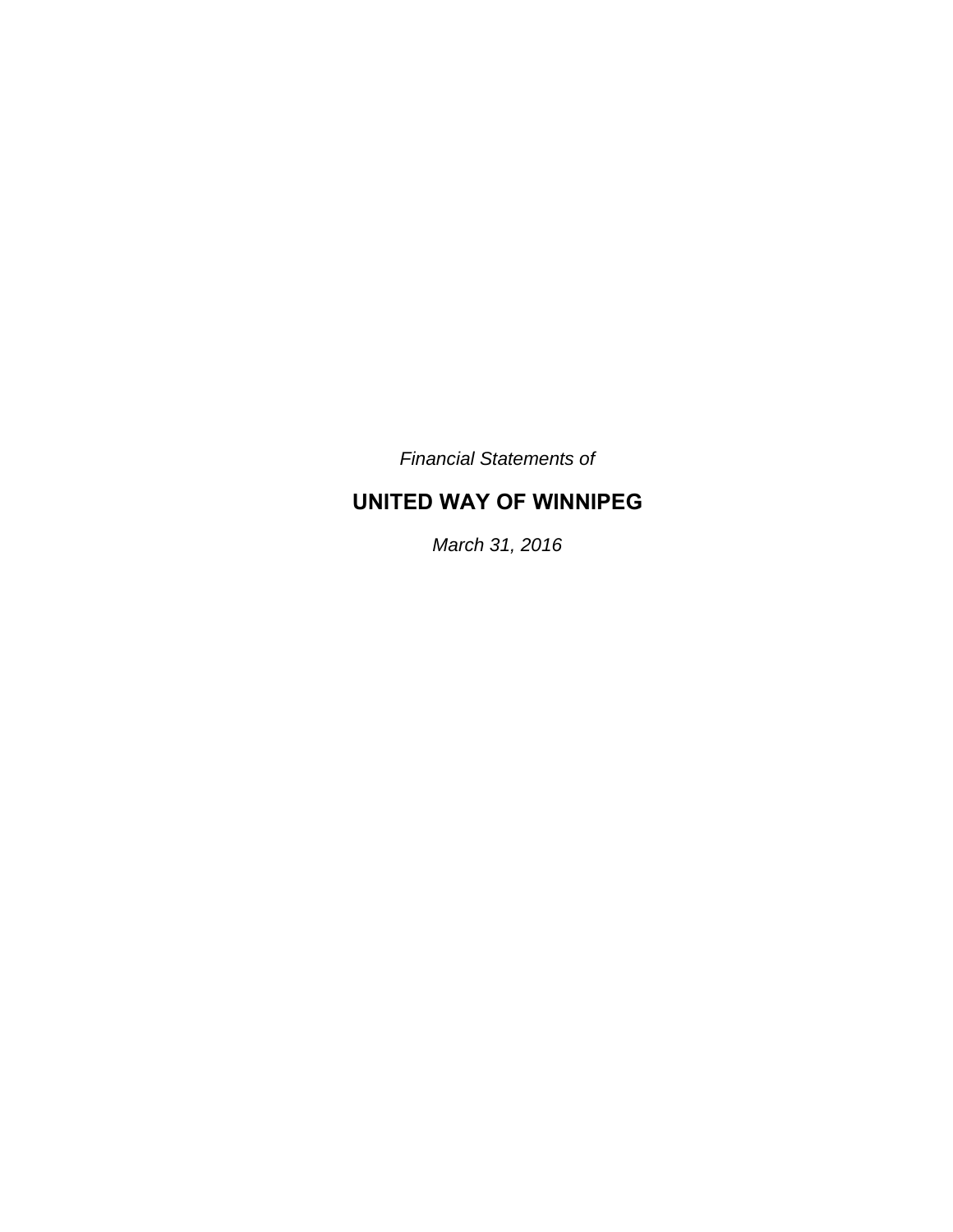*Financial Statements of* 

# **UNITED WAY OF WINNIPEG**

*March 31, 2016*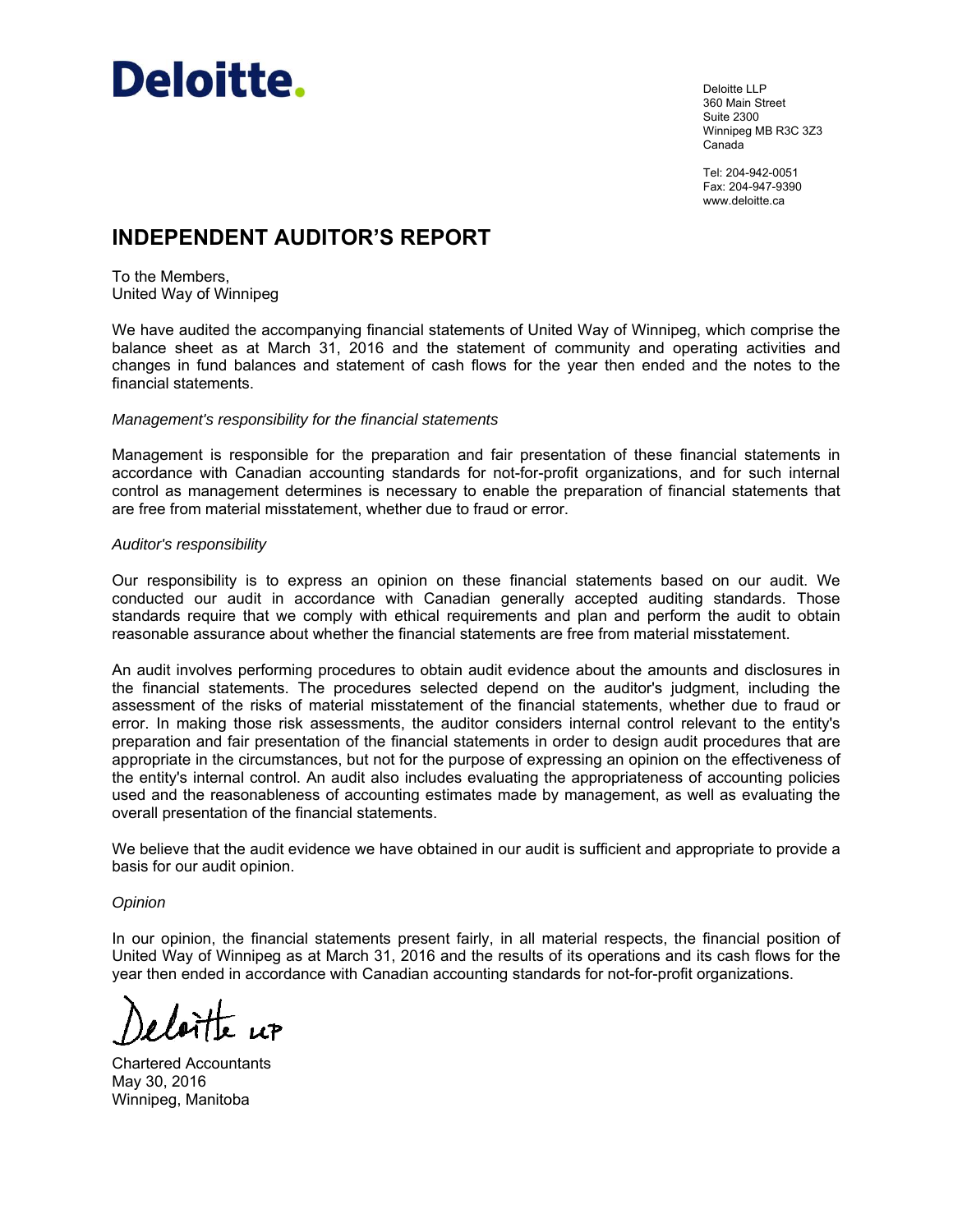

Deloitte LLP 360 Main Street Suite 2300 Winnipeg MB R3C 3Z3 Canada

Tel: 204-942-0051 Fax: 204-947-9390 www.deloitte.ca

# **INDEPENDENT AUDITOR'S REPORT**

To the Members, United Way of Winnipeg

We have audited the accompanying financial statements of United Way of Winnipeg, which comprise the balance sheet as at March 31, 2016 and the statement of community and operating activities and changes in fund balances and statement of cash flows for the year then ended and the notes to the financial statements.

#### *Management's responsibility for the financial statements*

Management is responsible for the preparation and fair presentation of these financial statements in accordance with Canadian accounting standards for not-for-profit organizations, and for such internal control as management determines is necessary to enable the preparation of financial statements that are free from material misstatement, whether due to fraud or error.

#### *Auditor's responsibility*

Our responsibility is to express an opinion on these financial statements based on our audit. We conducted our audit in accordance with Canadian generally accepted auditing standards. Those standards require that we comply with ethical requirements and plan and perform the audit to obtain reasonable assurance about whether the financial statements are free from material misstatement.

An audit involves performing procedures to obtain audit evidence about the amounts and disclosures in the financial statements. The procedures selected depend on the auditor's judgment, including the assessment of the risks of material misstatement of the financial statements, whether due to fraud or error. In making those risk assessments, the auditor considers internal control relevant to the entity's preparation and fair presentation of the financial statements in order to design audit procedures that are appropriate in the circumstances, but not for the purpose of expressing an opinion on the effectiveness of the entity's internal control. An audit also includes evaluating the appropriateness of accounting policies used and the reasonableness of accounting estimates made by management, as well as evaluating the overall presentation of the financial statements.

We believe that the audit evidence we have obtained in our audit is sufficient and appropriate to provide a basis for our audit opinion.

#### *Opinion*

In our opinion, the financial statements present fairly, in all material respects, the financial position of United Way of Winnipeg as at March 31, 2016 and the results of its operations and its cash flows for the year then ended in accordance with Canadian accounting standards for not-for-profit organizations.

Chartered Accountants May 30, 2016 Winnipeg, Manitoba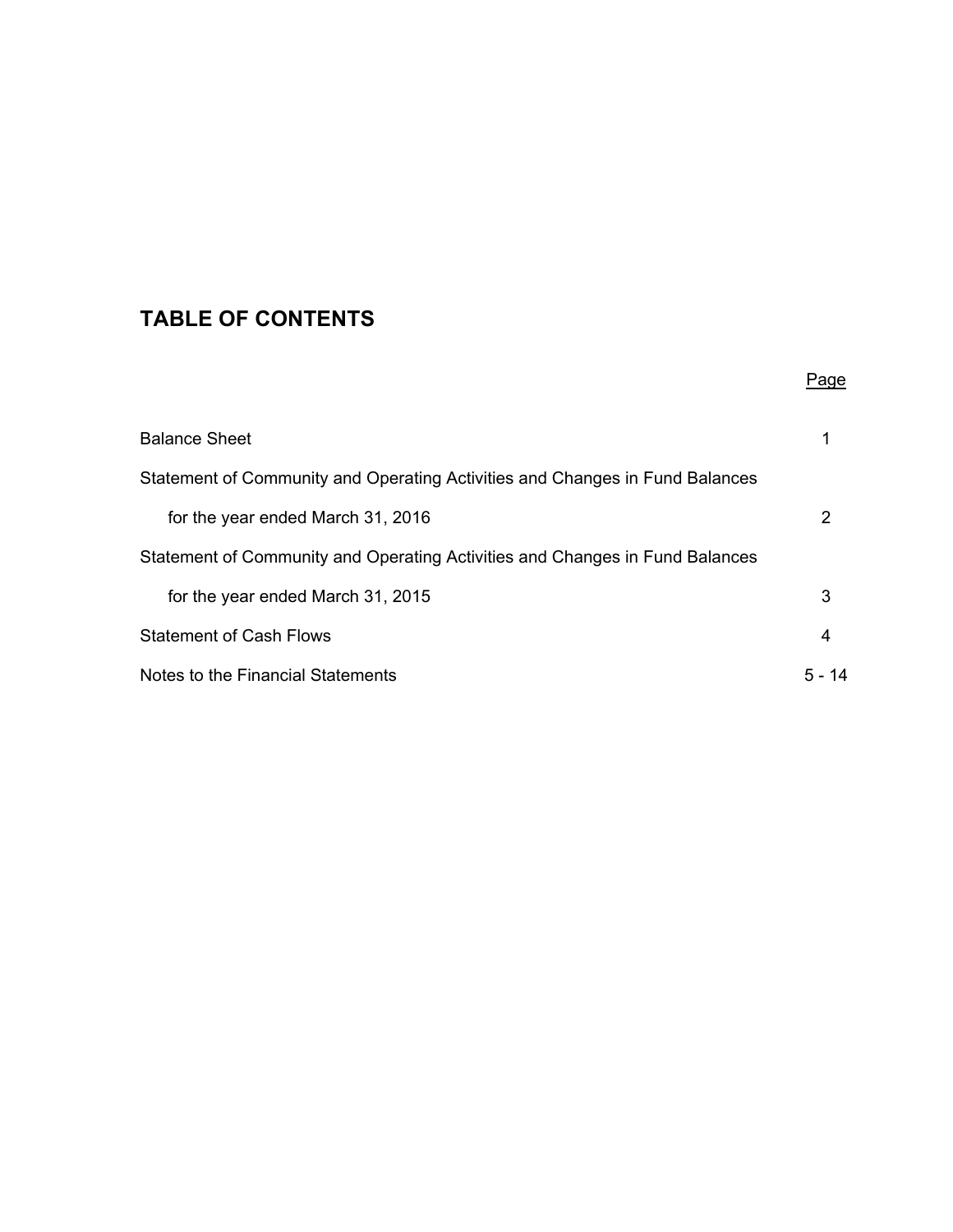# **TABLE OF CONTENTS**

|                                                                              | Page      |
|------------------------------------------------------------------------------|-----------|
| <b>Balance Sheet</b>                                                         | 1         |
| Statement of Community and Operating Activities and Changes in Fund Balances |           |
| for the year ended March 31, 2016                                            | 2         |
| Statement of Community and Operating Activities and Changes in Fund Balances |           |
| for the year ended March 31, 2015                                            | 3         |
| <b>Statement of Cash Flows</b>                                               | 4         |
| Notes to the Financial Statements                                            | 5 –<br>14 |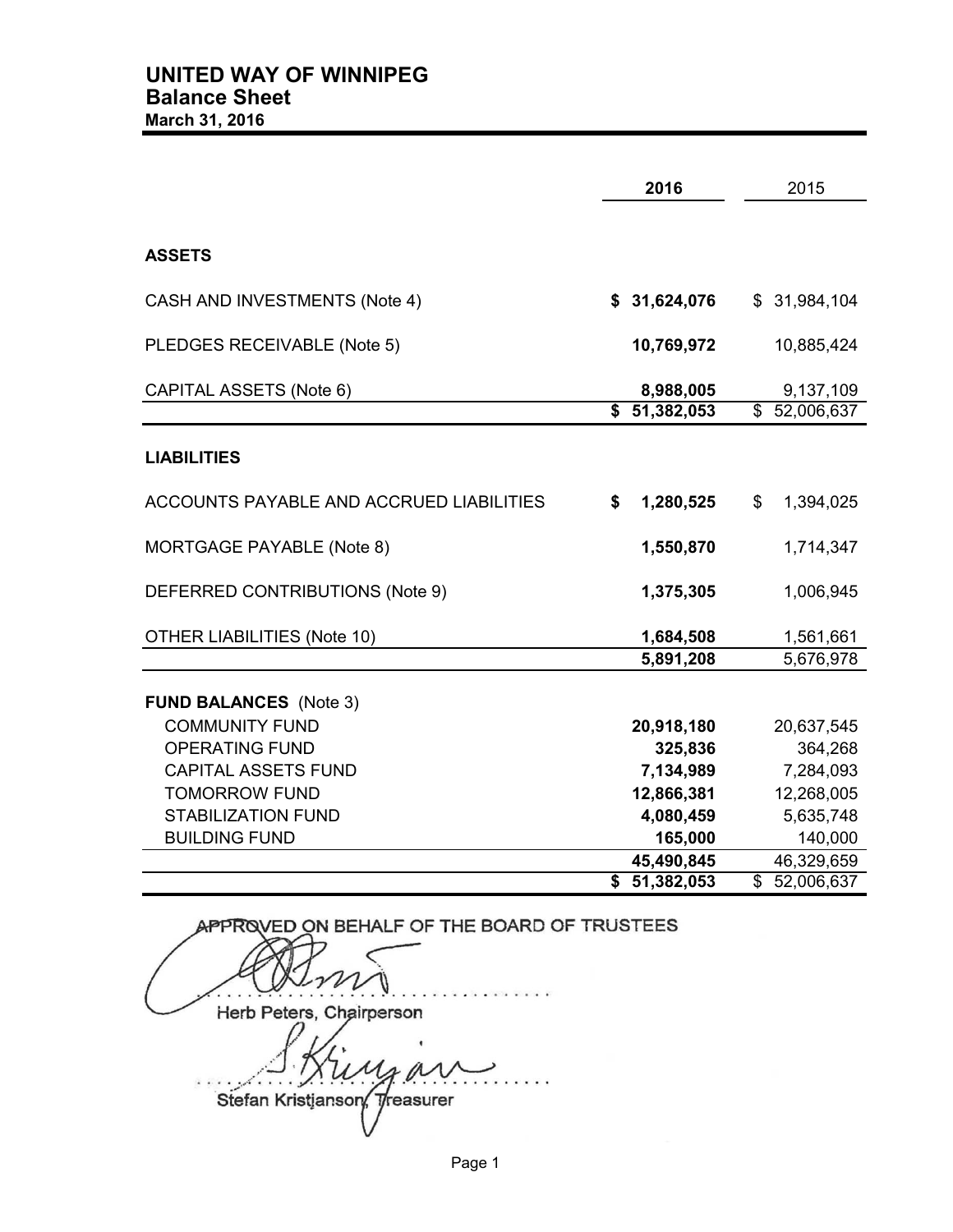|                                          | 2016                       | 2015                        |
|------------------------------------------|----------------------------|-----------------------------|
|                                          |                            |                             |
| <b>ASSETS</b>                            |                            |                             |
| CASH AND INVESTMENTS (Note 4)            | \$31,624,076               | \$31,984,104                |
| PLEDGES RECEIVABLE (Note 5)              | 10,769,972                 | 10,885,424                  |
| CAPITAL ASSETS (Note 6)                  | 8,988,005                  | 9,137,109                   |
|                                          | \$51,382,053               | \$52,006,637                |
| <b>LIABILITIES</b>                       |                            |                             |
| ACCOUNTS PAYABLE AND ACCRUED LIABILITIES | 1,280,525<br>\$            | $\mathfrak{F}$<br>1,394,025 |
| MORTGAGE PAYABLE (Note 8)                | 1,550,870                  | 1,714,347                   |
| DEFERRED CONTRIBUTIONS (Note 9)          | 1,375,305                  | 1,006,945                   |
| <b>OTHER LIABILITIES (Note 10)</b>       | 1,684,508                  | 1,561,661                   |
|                                          | 5,891,208                  | 5,676,978                   |
| <b>FUND BALANCES</b> (Note 3)            |                            |                             |
| <b>COMMUNITY FUND</b>                    | 20,918,180                 | 20,637,545                  |
| <b>OPERATING FUND</b>                    | 325,836                    | 364,268                     |
| <b>CAPITAL ASSETS FUND</b>               | 7,134,989                  | 7,284,093                   |
| <b>TOMORROW FUND</b>                     | 12,866,381                 | 12,268,005                  |
| <b>STABILIZATION FUND</b>                | 4,080,459                  | 5,635,748                   |
| <b>BUILDING FUND</b>                     | 165,000                    | 140,000                     |
|                                          | 45,490,845<br>\$51,382,053 | 46,329,659                  |
|                                          |                            | \$52,006,637                |

APPROVED ON BEHALF OF THE BOARD OF TRUSTEES . . . . . . . . . . . . . . . . . . . . . . . . . . . . . . . . . . . Herb Peters, Cha . . . . . . . . . . . . . . . . . . . . . . . . . . . . . . . . . . . Stefan Kristjanson,  $y$ 

Page 1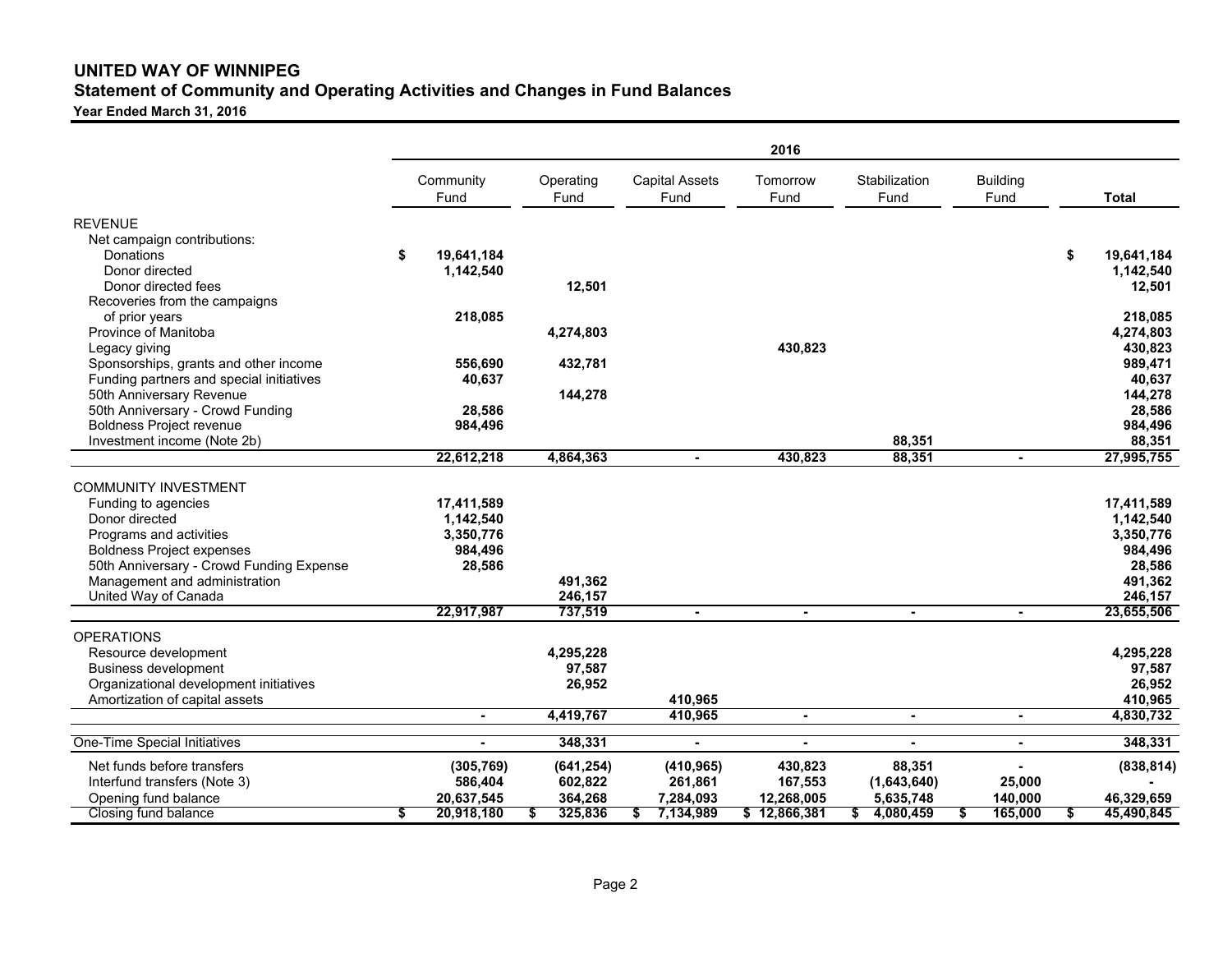# **UNITED WAY OF WINNIPEG Statement of Community and Operating Activities and Changes in Fund Balances**

**Year Ended March 31, 2016**

|                                          | 2016 |                |   |            |  |                       |                |                |                 |    |              |
|------------------------------------------|------|----------------|---|------------|--|-----------------------|----------------|----------------|-----------------|----|--------------|
|                                          |      | Community      |   | Operating  |  | <b>Capital Assets</b> | Tomorrow       | Stabilization  | <b>Building</b> |    |              |
|                                          |      | Fund           |   | Fund       |  | Fund                  | Fund           | Fund           | Fund            |    | <b>Total</b> |
| <b>REVENUE</b>                           |      |                |   |            |  |                       |                |                |                 |    |              |
| Net campaign contributions:              |      |                |   |            |  |                       |                |                |                 |    |              |
| Donations                                | \$   | 19,641,184     |   |            |  |                       |                |                |                 | \$ | 19,641,184   |
| Donor directed                           |      | 1,142,540      |   |            |  |                       |                |                |                 |    | 1,142,540    |
| Donor directed fees                      |      |                |   | 12,501     |  |                       |                |                |                 |    | 12,501       |
| Recoveries from the campaigns            |      |                |   |            |  |                       |                |                |                 |    |              |
| of prior years                           |      | 218,085        |   |            |  |                       |                |                |                 |    | 218,085      |
| Province of Manitoba                     |      |                |   | 4,274,803  |  |                       |                |                |                 |    | 4,274,803    |
| Legacy giving                            |      |                |   |            |  |                       | 430,823        |                |                 |    | 430,823      |
| Sponsorships, grants and other income    |      | 556,690        |   | 432,781    |  |                       |                |                |                 |    | 989,471      |
| Funding partners and special initiatives |      | 40,637         |   |            |  |                       |                |                |                 |    | 40,637       |
| 50th Anniversary Revenue                 |      |                |   | 144,278    |  |                       |                |                |                 |    | 144,278      |
| 50th Anniversary - Crowd Funding         |      | 28,586         |   |            |  |                       |                |                |                 |    | 28,586       |
| <b>Boldness Project revenue</b>          |      | 984.496        |   |            |  |                       |                |                |                 |    | 984,496      |
| Investment income (Note 2b)              |      |                |   |            |  |                       |                | 88,351         |                 |    | 88,351       |
|                                          |      | 22,612,218     |   | 4,864,363  |  | $\blacksquare$        | 430.823        | 88,351         |                 |    | 27,995,755   |
|                                          |      |                |   |            |  |                       |                |                |                 |    |              |
| <b>COMMUNITY INVESTMENT</b>              |      |                |   |            |  |                       |                |                |                 |    |              |
| Funding to agencies                      |      | 17,411,589     |   |            |  |                       |                |                |                 |    | 17,411,589   |
| Donor directed                           |      | 1,142,540      |   |            |  |                       |                |                |                 |    | 1,142,540    |
| Programs and activities                  |      | 3,350,776      |   |            |  |                       |                |                |                 |    | 3,350,776    |
| <b>Boldness Project expenses</b>         |      | 984,496        |   |            |  |                       |                |                |                 |    | 984,496      |
| 50th Anniversary - Crowd Funding Expense |      | 28,586         |   |            |  |                       |                |                |                 |    | 28,586       |
| Management and administration            |      |                |   | 491,362    |  |                       |                |                |                 |    | 491,362      |
| United Way of Canada                     |      |                |   | 246,157    |  |                       |                |                |                 |    | 246,157      |
|                                          |      | 22,917,987     |   | 737,519    |  | $\sim$                | $\blacksquare$ | $\blacksquare$ | $\blacksquare$  |    | 23,655,506   |
|                                          |      |                |   |            |  |                       |                |                |                 |    |              |
| <b>OPERATIONS</b>                        |      |                |   |            |  |                       |                |                |                 |    |              |
| Resource development                     |      |                |   | 4,295,228  |  |                       |                |                |                 |    | 4,295,228    |
| <b>Business development</b>              |      |                |   | 97,587     |  |                       |                |                |                 |    | 97,587       |
| Organizational development initiatives   |      |                |   | 26,952     |  |                       |                |                |                 |    | 26,952       |
| Amortization of capital assets           |      |                |   |            |  | 410,965               |                |                |                 |    | 410,965      |
|                                          |      | $\blacksquare$ |   | 4,419,767  |  | 410,965               | $\blacksquare$ | $\blacksquare$ | $\blacksquare$  |    | 4,830,732    |
| <b>One-Time Special Initiatives</b>      |      | $\blacksquare$ |   | 348,331    |  | $\blacksquare$        | $\blacksquare$ | $\blacksquare$ | $\blacksquare$  |    | 348,331      |
| Net funds before transfers               |      | (305, 769)     |   | (641, 254) |  | (410, 965)            | 430,823        | 88,351         |                 |    | (838, 814)   |
| Interfund transfers (Note 3)             |      | 586,404        |   | 602,822    |  | 261,861               | 167,553        | (1,643,640)    | 25,000          |    |              |
| Opening fund balance                     |      | 20,637,545     |   | 364,268    |  | 7,284,093             | 12,268,005     | 5,635,748      | 140,000         |    | 46,329,659   |
| Closing fund balance                     | \$   | 20,918,180     | S | 325,836    |  | 7,134,989             | \$12,866,381   | 4,080,459      | 165,000         |    | 45,490,845   |
|                                          |      |                |   |            |  |                       |                |                |                 |    |              |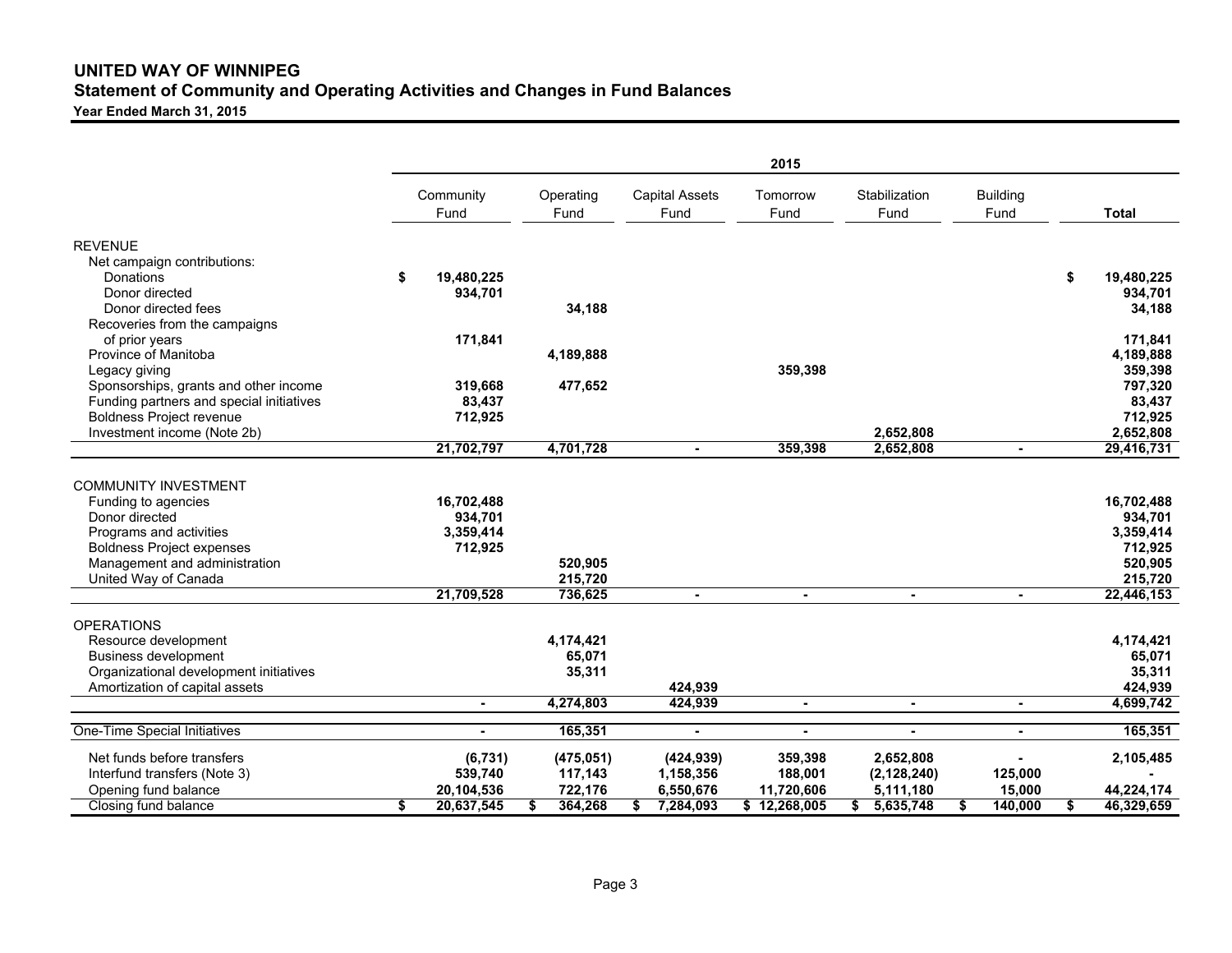# **UNITED WAY OF WINNIPEG Statement of Community and Operating Activities and Changes in Fund Balances**

**Year Ended March 31, 2015**

|                                                 |    |                |    |            |    |                       | 2015         |                |                 |    |              |
|-------------------------------------------------|----|----------------|----|------------|----|-----------------------|--------------|----------------|-----------------|----|--------------|
|                                                 |    | Community      |    | Operating  |    | <b>Capital Assets</b> | Tomorrow     | Stabilization  | <b>Building</b> |    |              |
|                                                 |    | Fund           |    | Fund       |    | Fund                  | Fund         | Fund           | Fund            |    | <b>Total</b> |
| <b>REVENUE</b>                                  |    |                |    |            |    |                       |              |                |                 |    |              |
| Net campaign contributions:                     |    |                |    |            |    |                       |              |                |                 |    |              |
| Donations                                       | \$ | 19.480.225     |    |            |    |                       |              |                |                 | \$ | 19.480.225   |
| Donor directed                                  |    | 934,701        |    |            |    |                       |              |                |                 |    | 934,701      |
| Donor directed fees                             |    |                |    | 34,188     |    |                       |              |                |                 |    | 34,188       |
| Recoveries from the campaigns<br>of prior years |    | 171,841        |    |            |    |                       |              |                |                 |    | 171,841      |
| Province of Manitoba                            |    |                |    | 4,189,888  |    |                       |              |                |                 |    | 4,189,888    |
| Legacy giving                                   |    |                |    |            |    |                       | 359,398      |                |                 |    | 359,398      |
| Sponsorships, grants and other income           |    | 319,668        |    | 477,652    |    |                       |              |                |                 |    | 797,320      |
| Funding partners and special initiatives        |    | 83,437         |    |            |    |                       |              |                |                 |    | 83,437       |
| <b>Boldness Project revenue</b>                 |    | 712,925        |    |            |    |                       |              |                |                 |    | 712,925      |
| Investment income (Note 2b)                     |    |                |    |            |    |                       |              | 2,652,808      |                 |    | 2,652,808    |
|                                                 |    | 21,702,797     |    | 4,701,728  |    | $\sim$                | 359,398      | 2,652,808      | $\sim$          |    | 29,416,731   |
|                                                 |    |                |    |            |    |                       |              |                |                 |    |              |
| <b>COMMUNITY INVESTMENT</b>                     |    |                |    |            |    |                       |              |                |                 |    |              |
| Funding to agencies                             |    | 16.702.488     |    |            |    |                       |              |                |                 |    | 16,702,488   |
| Donor directed                                  |    | 934,701        |    |            |    |                       |              |                |                 |    | 934,701      |
| Programs and activities                         |    | 3,359,414      |    |            |    |                       |              |                |                 |    | 3,359,414    |
| <b>Boldness Project expenses</b>                |    | 712,925        |    |            |    |                       |              |                |                 |    | 712,925      |
| Management and administration                   |    |                |    | 520.905    |    |                       |              |                |                 |    | 520,905      |
| United Way of Canada                            |    |                |    | 215,720    |    |                       |              |                |                 |    | 215,720      |
|                                                 |    | 21,709,528     |    | 736,625    |    |                       |              |                |                 |    | 22,446,153   |
| <b>OPERATIONS</b>                               |    |                |    |            |    |                       |              |                |                 |    |              |
| Resource development                            |    |                |    | 4,174,421  |    |                       |              |                |                 |    | 4,174,421    |
| <b>Business development</b>                     |    |                |    | 65,071     |    |                       |              |                |                 |    | 65,071       |
| Organizational development initiatives          |    |                |    | 35,311     |    |                       |              |                |                 |    | 35,311       |
| Amortization of capital assets                  |    |                |    |            |    | 424,939               |              |                |                 |    | 424.939      |
|                                                 |    | $\blacksquare$ |    | 4,274,803  |    | 424,939               |              | $\blacksquare$ | $\blacksquare$  |    | 4,699,742    |
| One-Time Special Initiatives                    |    |                |    | 165,351    |    | $\blacksquare$        |              | $\blacksquare$ | $\blacksquare$  |    | 165,351      |
| Net funds before transfers                      |    | (6,731)        |    | (475, 051) |    | (424, 939)            | 359,398      | 2,652,808      |                 |    | 2,105,485    |
| Interfund transfers (Note 3)                    |    | 539,740        |    | 117,143    |    | 1,158,356             | 188,001      | (2, 128, 240)  | 125,000         |    |              |
| Opening fund balance                            |    | 20,104,536     |    | 722,176    |    | 6,550,676             | 11.720.606   | 5,111,180      | 15.000          |    | 44,224,174   |
| Closing fund balance                            | S  | 20,637,545     | s. | 364,268    | S. | 7,284,093             | \$12,268,005 | 5,635,748      | \$<br>140,000   | S. | 46,329,659   |
|                                                 |    |                |    |            |    |                       |              |                |                 |    |              |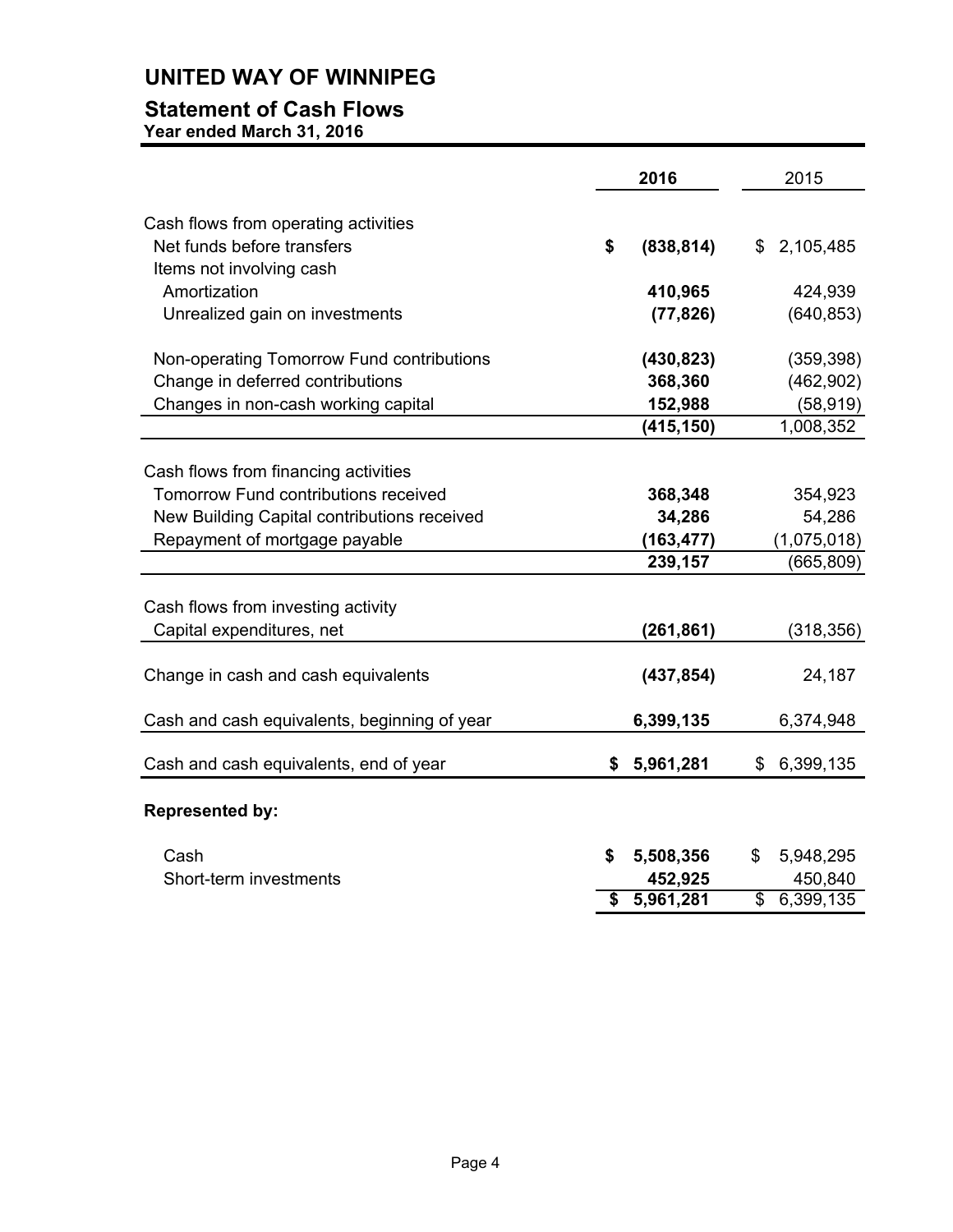# **UNITED WAY OF WINNIPEG**

# **Statement of Cash Flows**

**Year ended March 31, 2016** 

|                                              | 2016             | 2015            |
|----------------------------------------------|------------------|-----------------|
| Cash flows from operating activities         |                  |                 |
| Net funds before transfers                   | \$<br>(838, 814) | \$2,105,485     |
| Items not involving cash                     |                  |                 |
| Amortization                                 | 410,965          | 424,939         |
| Unrealized gain on investments               | (77, 826)        | (640, 853)      |
| Non-operating Tomorrow Fund contributions    | (430, 823)       | (359, 398)      |
| Change in deferred contributions             | 368,360          | (462,902)       |
| Changes in non-cash working capital          | 152,988          | (58, 919)       |
|                                              | (415, 150)       | 1,008,352       |
|                                              |                  |                 |
| Cash flows from financing activities         |                  |                 |
| <b>Tomorrow Fund contributions received</b>  | 368,348          | 354,923         |
| New Building Capital contributions received  | 34,286           | 54,286          |
| Repayment of mortgage payable                | (163, 477)       | (1,075,018)     |
|                                              | 239,157          | (665, 809)      |
|                                              |                  |                 |
| Cash flows from investing activity           |                  |                 |
| Capital expenditures, net                    | (261, 861)       | (318, 356)      |
| Change in cash and cash equivalents          | (437, 854)       | 24,187          |
| Cash and cash equivalents, beginning of year | 6,399,135        | 6,374,948       |
| Cash and cash equivalents, end of year       | \$<br>5,961,281  | \$<br>6,399,135 |
| <b>Represented by:</b>                       |                  |                 |
| Cash                                         | \$<br>5,508,356  | \$<br>5,948,295 |
| Short-term investments                       | 452,925          | 450,840         |
|                                              | \$<br>5,961,281  | \$<br>6,399,135 |
|                                              |                  |                 |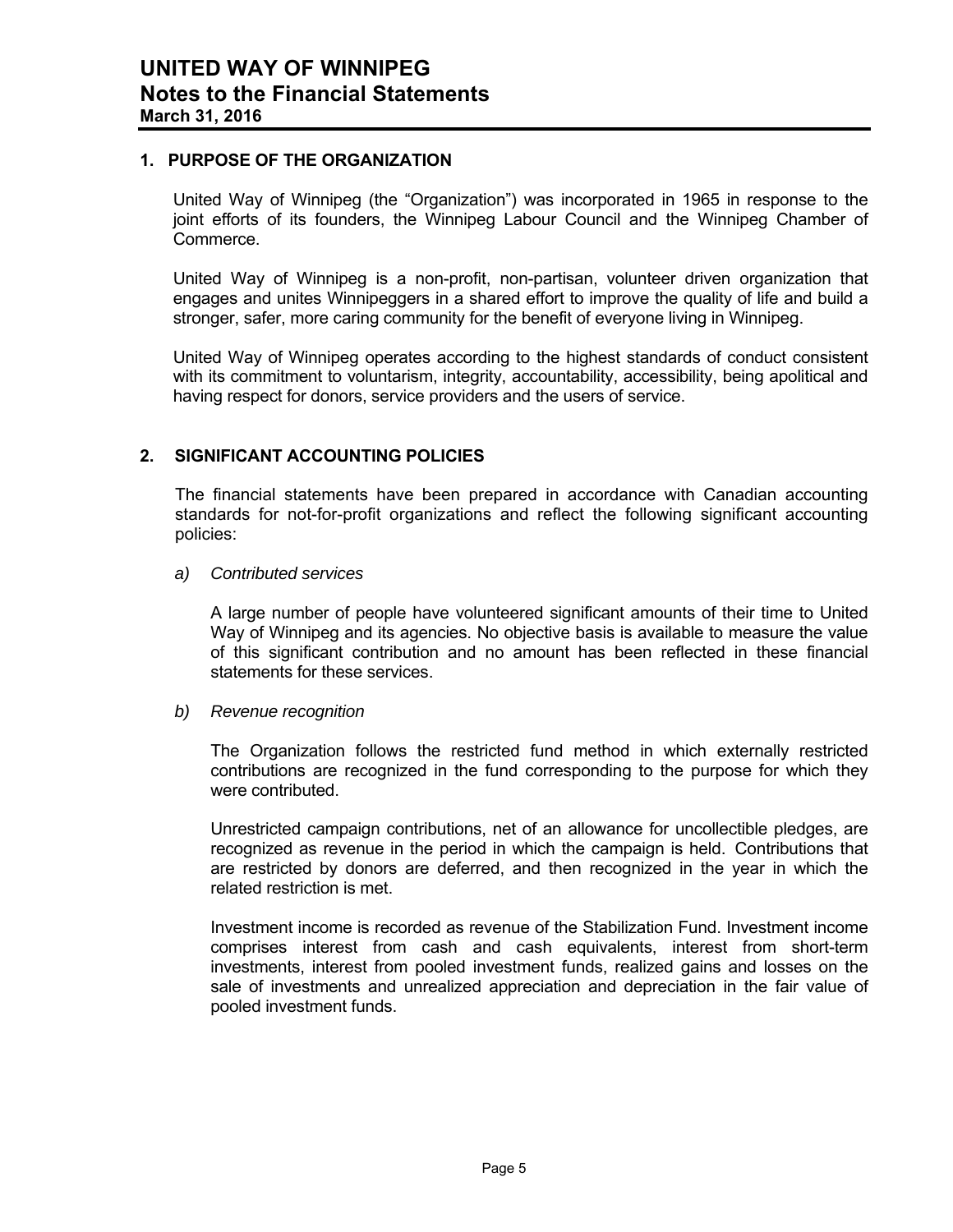## **1. PURPOSE OF THE ORGANIZATION**

United Way of Winnipeg (the "Organization") was incorporated in 1965 in response to the joint efforts of its founders, the Winnipeg Labour Council and the Winnipeg Chamber of Commerce.

United Way of Winnipeg is a non-profit, non-partisan, volunteer driven organization that engages and unites Winnipeggers in a shared effort to improve the quality of life and build a stronger, safer, more caring community for the benefit of everyone living in Winnipeg.

United Way of Winnipeg operates according to the highest standards of conduct consistent with its commitment to voluntarism, integrity, accountability, accessibility, being apolitical and having respect for donors, service providers and the users of service.

# **2. SIGNIFICANT ACCOUNTING POLICIES**

The financial statements have been prepared in accordance with Canadian accounting standards for not-for-profit organizations and reflect the following significant accounting policies:

*a) Contributed services* 

A large number of people have volunteered significant amounts of their time to United Way of Winnipeg and its agencies. No objective basis is available to measure the value of this significant contribution and no amount has been reflected in these financial statements for these services.

*b) Revenue recognition* 

The Organization follows the restricted fund method in which externally restricted contributions are recognized in the fund corresponding to the purpose for which they were contributed.

Unrestricted campaign contributions, net of an allowance for uncollectible pledges, are recognized as revenue in the period in which the campaign is held. Contributions that are restricted by donors are deferred, and then recognized in the year in which the related restriction is met.

Investment income is recorded as revenue of the Stabilization Fund. Investment income comprises interest from cash and cash equivalents, interest from short-term investments, interest from pooled investment funds, realized gains and losses on the sale of investments and unrealized appreciation and depreciation in the fair value of pooled investment funds.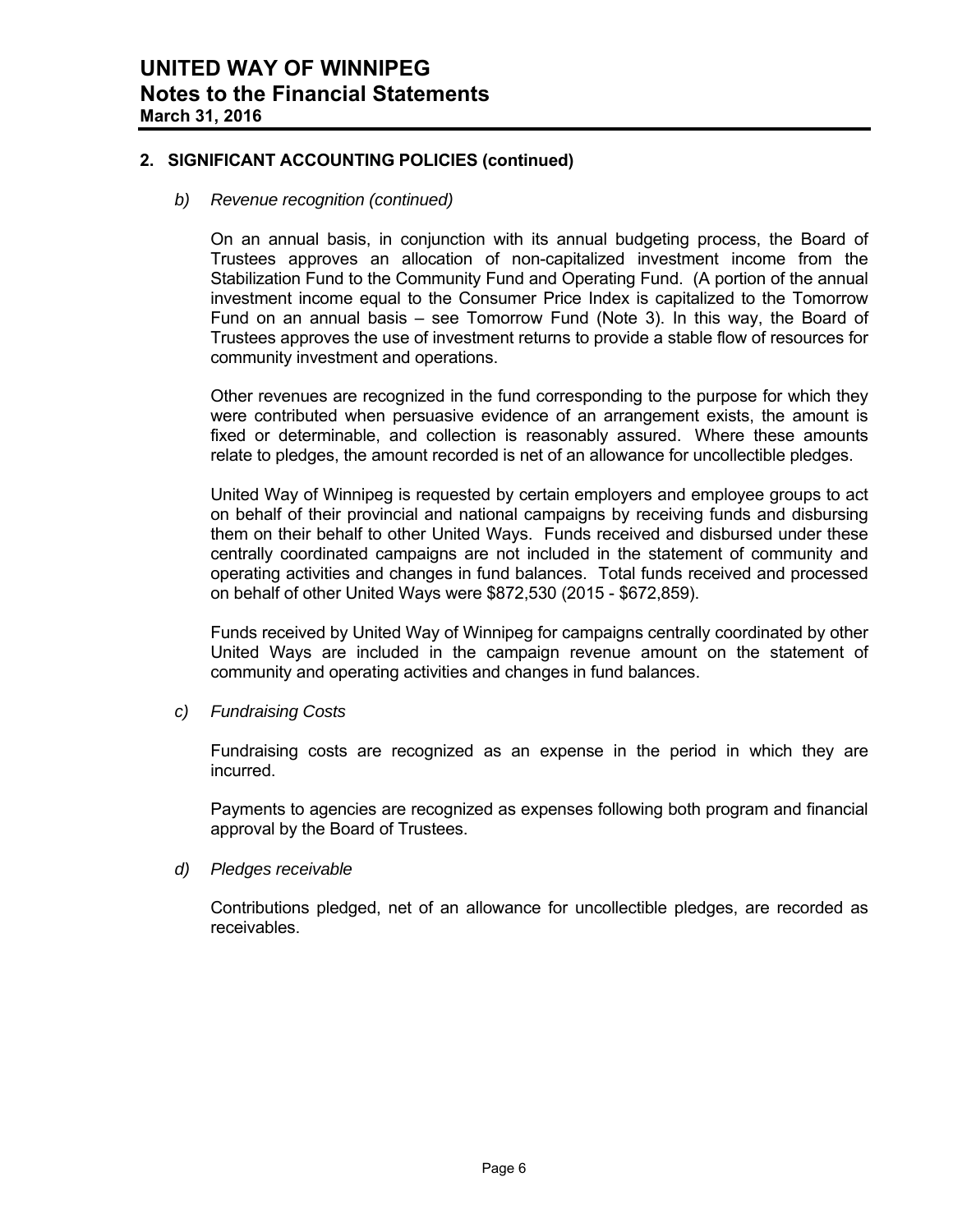# **2. SIGNIFICANT ACCOUNTING POLICIES (continued)**

### *b) Revenue recognition (continued)*

On an annual basis, in conjunction with its annual budgeting process, the Board of Trustees approves an allocation of non-capitalized investment income from the Stabilization Fund to the Community Fund and Operating Fund. (A portion of the annual investment income equal to the Consumer Price Index is capitalized to the Tomorrow Fund on an annual basis – see Tomorrow Fund (Note 3). In this way, the Board of Trustees approves the use of investment returns to provide a stable flow of resources for community investment and operations.

Other revenues are recognized in the fund corresponding to the purpose for which they were contributed when persuasive evidence of an arrangement exists, the amount is fixed or determinable, and collection is reasonably assured. Where these amounts relate to pledges, the amount recorded is net of an allowance for uncollectible pledges.

United Way of Winnipeg is requested by certain employers and employee groups to act on behalf of their provincial and national campaigns by receiving funds and disbursing them on their behalf to other United Ways. Funds received and disbursed under these centrally coordinated campaigns are not included in the statement of community and operating activities and changes in fund balances. Total funds received and processed on behalf of other United Ways were \$872,530 (2015 - \$672,859).

Funds received by United Way of Winnipeg for campaigns centrally coordinated by other United Ways are included in the campaign revenue amount on the statement of community and operating activities and changes in fund balances.

*c) Fundraising Costs* 

Fundraising costs are recognized as an expense in the period in which they are incurred.

Payments to agencies are recognized as expenses following both program and financial approval by the Board of Trustees.

#### *d) Pledges receivable*

Contributions pledged, net of an allowance for uncollectible pledges, are recorded as receivables.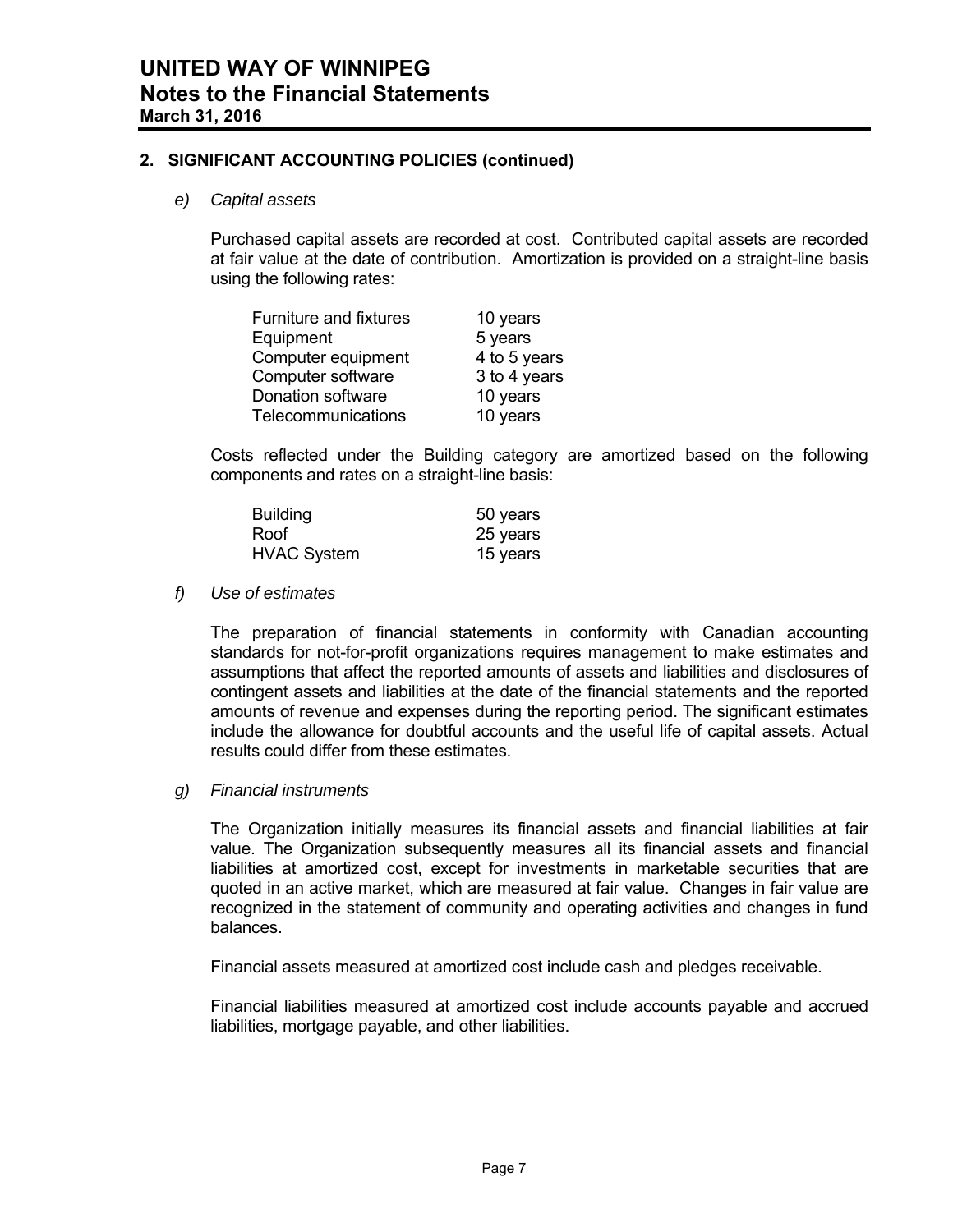## **2. SIGNIFICANT ACCOUNTING POLICIES (continued)**

#### *e) Capital assets*

Purchased capital assets are recorded at cost. Contributed capital assets are recorded at fair value at the date of contribution. Amortization is provided on a straight-line basis using the following rates:

| Furniture and fixtures | 10 years     |
|------------------------|--------------|
| Equipment              | 5 years      |
| Computer equipment     | 4 to 5 years |
| Computer software      | 3 to 4 years |
| Donation software      | 10 years     |
| Telecommunications     | 10 years     |

Costs reflected under the Building category are amortized based on the following components and rates on a straight-line basis:

| <b>Building</b>    | 50 years |
|--------------------|----------|
| Roof               | 25 years |
| <b>HVAC System</b> | 15 years |

#### *f) Use of estimates*

The preparation of financial statements in conformity with Canadian accounting standards for not-for-profit organizations requires management to make estimates and assumptions that affect the reported amounts of assets and liabilities and disclosures of contingent assets and liabilities at the date of the financial statements and the reported amounts of revenue and expenses during the reporting period. The significant estimates include the allowance for doubtful accounts and the useful life of capital assets. Actual results could differ from these estimates.

## *g) Financial instruments*

The Organization initially measures its financial assets and financial liabilities at fair value. The Organization subsequently measures all its financial assets and financial liabilities at amortized cost, except for investments in marketable securities that are quoted in an active market, which are measured at fair value. Changes in fair value are recognized in the statement of community and operating activities and changes in fund balances.

Financial assets measured at amortized cost include cash and pledges receivable.

Financial liabilities measured at amortized cost include accounts payable and accrued liabilities, mortgage payable, and other liabilities.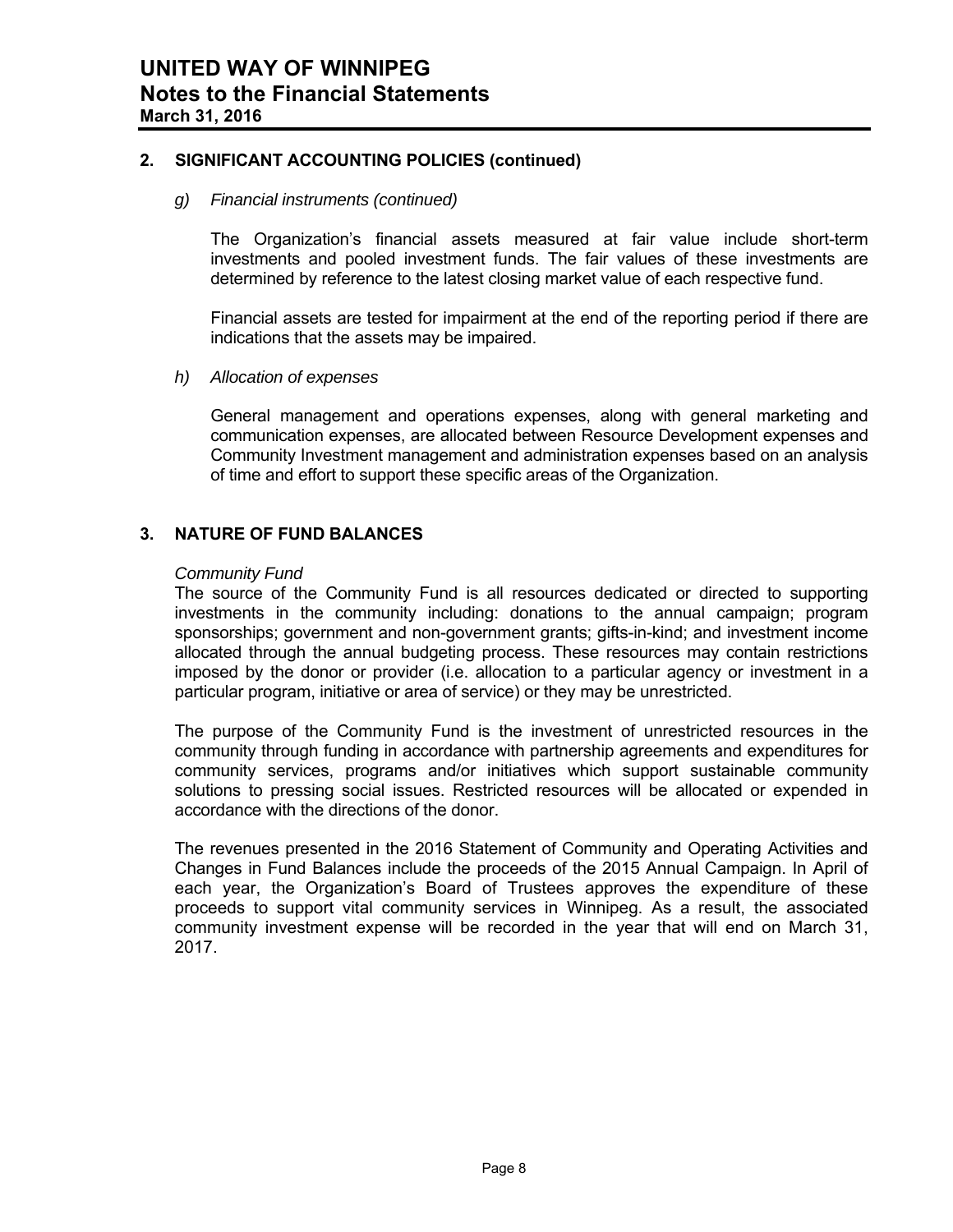## **2. SIGNIFICANT ACCOUNTING POLICIES (continued)**

## *g) Financial instruments (continued)*

The Organization's financial assets measured at fair value include short-term investments and pooled investment funds. The fair values of these investments are determined by reference to the latest closing market value of each respective fund.

Financial assets are tested for impairment at the end of the reporting period if there are indications that the assets may be impaired.

## *h) Allocation of expenses*

General management and operations expenses, along with general marketing and communication expenses, are allocated between Resource Development expenses and Community Investment management and administration expenses based on an analysis of time and effort to support these specific areas of the Organization.

## **3. NATURE OF FUND BALANCES**

#### *Community Fund*

 The source of the Community Fund is all resources dedicated or directed to supporting investments in the community including: donations to the annual campaign; program sponsorships; government and non-government grants; gifts-in-kind; and investment income allocated through the annual budgeting process. These resources may contain restrictions imposed by the donor or provider (i.e. allocation to a particular agency or investment in a particular program, initiative or area of service) or they may be unrestricted.

 The purpose of the Community Fund is the investment of unrestricted resources in the community through funding in accordance with partnership agreements and expenditures for community services, programs and/or initiatives which support sustainable community solutions to pressing social issues. Restricted resources will be allocated or expended in accordance with the directions of the donor.

The revenues presented in the 2016 Statement of Community and Operating Activities and Changes in Fund Balances include the proceeds of the 2015 Annual Campaign. In April of each year, the Organization's Board of Trustees approves the expenditure of these proceeds to support vital community services in Winnipeg. As a result, the associated community investment expense will be recorded in the year that will end on March 31, 2017.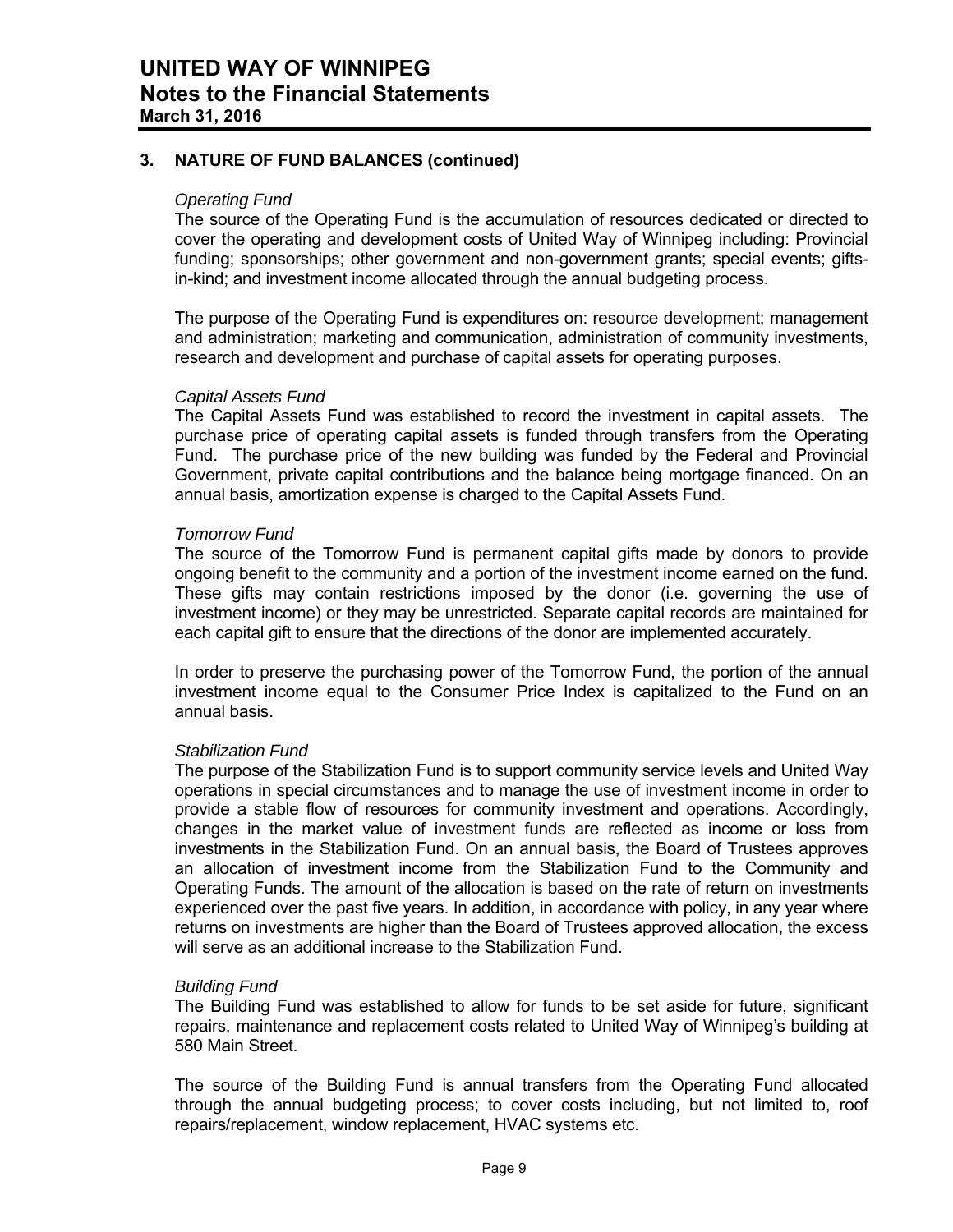# **3. NATURE OF FUND BALANCES (continued)**

#### *Operating Fund*

The source of the Operating Fund is the accumulation of resources dedicated or directed to cover the operating and development costs of United Way of Winnipeg including: Provincial funding; sponsorships; other government and non-government grants; special events; giftsin-kind; and investment income allocated through the annual budgeting process.

The purpose of the Operating Fund is expenditures on: resource development; management and administration; marketing and communication, administration of community investments, research and development and purchase of capital assets for operating purposes.

#### *Capital Assets Fund*

The Capital Assets Fund was established to record the investment in capital assets. The purchase price of operating capital assets is funded through transfers from the Operating Fund. The purchase price of the new building was funded by the Federal and Provincial Government, private capital contributions and the balance being mortgage financed. On an annual basis, amortization expense is charged to the Capital Assets Fund.

#### *Tomorrow Fund*

The source of the Tomorrow Fund is permanent capital gifts made by donors to provide ongoing benefit to the community and a portion of the investment income earned on the fund. These gifts may contain restrictions imposed by the donor (i.e. governing the use of investment income) or they may be unrestricted. Separate capital records are maintained for each capital gift to ensure that the directions of the donor are implemented accurately.

In order to preserve the purchasing power of the Tomorrow Fund, the portion of the annual investment income equal to the Consumer Price Index is capitalized to the Fund on an annual basis.

## *Stabilization Fund*

The purpose of the Stabilization Fund is to support community service levels and United Way operations in special circumstances and to manage the use of investment income in order to provide a stable flow of resources for community investment and operations. Accordingly, changes in the market value of investment funds are reflected as income or loss from investments in the Stabilization Fund. On an annual basis, the Board of Trustees approves an allocation of investment income from the Stabilization Fund to the Community and Operating Funds. The amount of the allocation is based on the rate of return on investments experienced over the past five years. In addition, in accordance with policy, in any year where returns on investments are higher than the Board of Trustees approved allocation, the excess will serve as an additional increase to the Stabilization Fund.

## *Building Fund*

The Building Fund was established to allow for funds to be set aside for future, significant repairs, maintenance and replacement costs related to United Way of Winnipeg's building at 580 Main Street.

The source of the Building Fund is annual transfers from the Operating Fund allocated through the annual budgeting process; to cover costs including, but not limited to, roof repairs/replacement, window replacement, HVAC systems etc.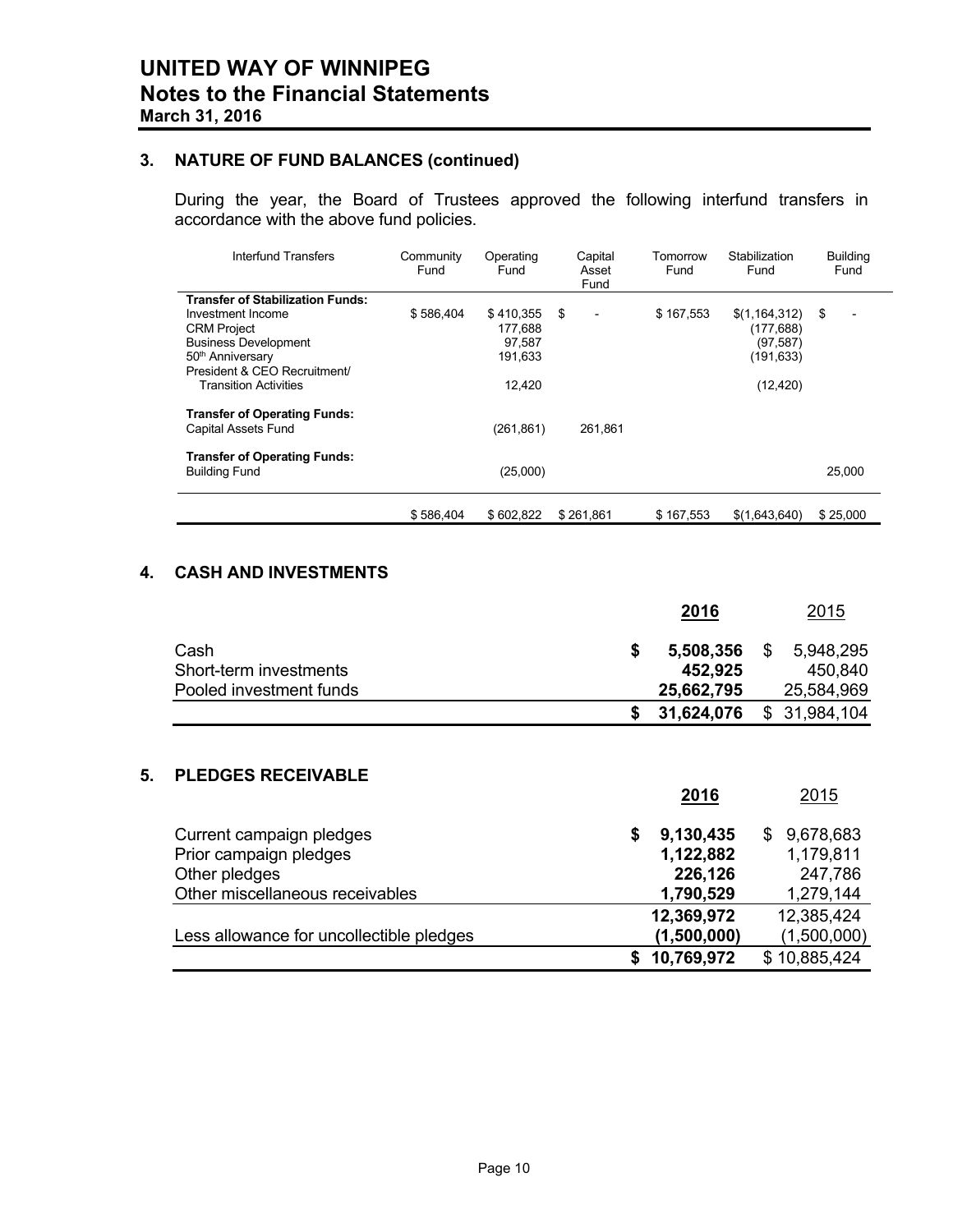# **3. NATURE OF FUND BALANCES (continued)**

During the year, the Board of Trustees approved the following interfund transfers in accordance with the above fund policies.

| Interfund Transfers                     | Community<br>Fund | Operating<br>Fund | Capital<br>Asset<br>Fund        | Tomorrow<br>Fund | Stabilization<br>Fund | <b>Building</b><br>Fund |
|-----------------------------------------|-------------------|-------------------|---------------------------------|------------------|-----------------------|-------------------------|
| <b>Transfer of Stabilization Funds:</b> |                   |                   |                                 |                  |                       |                         |
| Investment Income                       | \$586,404         | \$410,355         | -\$<br>$\overline{\phantom{a}}$ | \$167,553        | \$(1, 164, 312)       | \$<br>$\overline{a}$    |
| <b>CRM Project</b>                      |                   | 177,688           |                                 |                  | (177, 688)            |                         |
| <b>Business Development</b>             |                   | 97,587            |                                 |                  | (97, 587)             |                         |
| 50 <sup>th</sup> Anniversary            |                   | 191,633           |                                 |                  | (191, 633)            |                         |
| President & CEO Recruitment/            |                   |                   |                                 |                  |                       |                         |
| <b>Transition Activities</b>            |                   | 12,420            |                                 |                  | (12, 420)             |                         |
| <b>Transfer of Operating Funds:</b>     |                   |                   |                                 |                  |                       |                         |
| Capital Assets Fund                     |                   | (261, 861)        | 261.861                         |                  |                       |                         |
| <b>Transfer of Operating Funds:</b>     |                   |                   |                                 |                  |                       |                         |
| <b>Building Fund</b>                    |                   | (25,000)          |                                 |                  |                       | 25,000                  |
|                                         | \$586,404         | \$602,822         | \$261,861                       | \$167,553        | \$(1,643,640)         | \$25,000                |

# **4. CASH AND INVESTMENTS**

|                         | <u>2016</u> | <u> 2015</u>    |
|-------------------------|-------------|-----------------|
| Cash                    | 5,508,356   | 5,948,295<br>S. |
| Short-term investments  | 452,925     | 450,840         |
| Pooled investment funds | 25,662,795  | 25,584,969      |
|                         | 31,624,076  | \$31,984,104    |

# **5. PLEDGES RECEIVABLE**

| 2016           | 2015            |
|----------------|-----------------|
| 9,130,435<br>5 | 9,678,683<br>S. |
| 1,122,882      | 1,179,811       |
| 226,126        | 247,786         |
| 1,790,529      | 1,279,144       |
| 12,369,972     | 12,385,424      |
| (1,500,000)    | (1,500,000)     |
| 10,769,972     | \$10,885,424    |
|                |                 |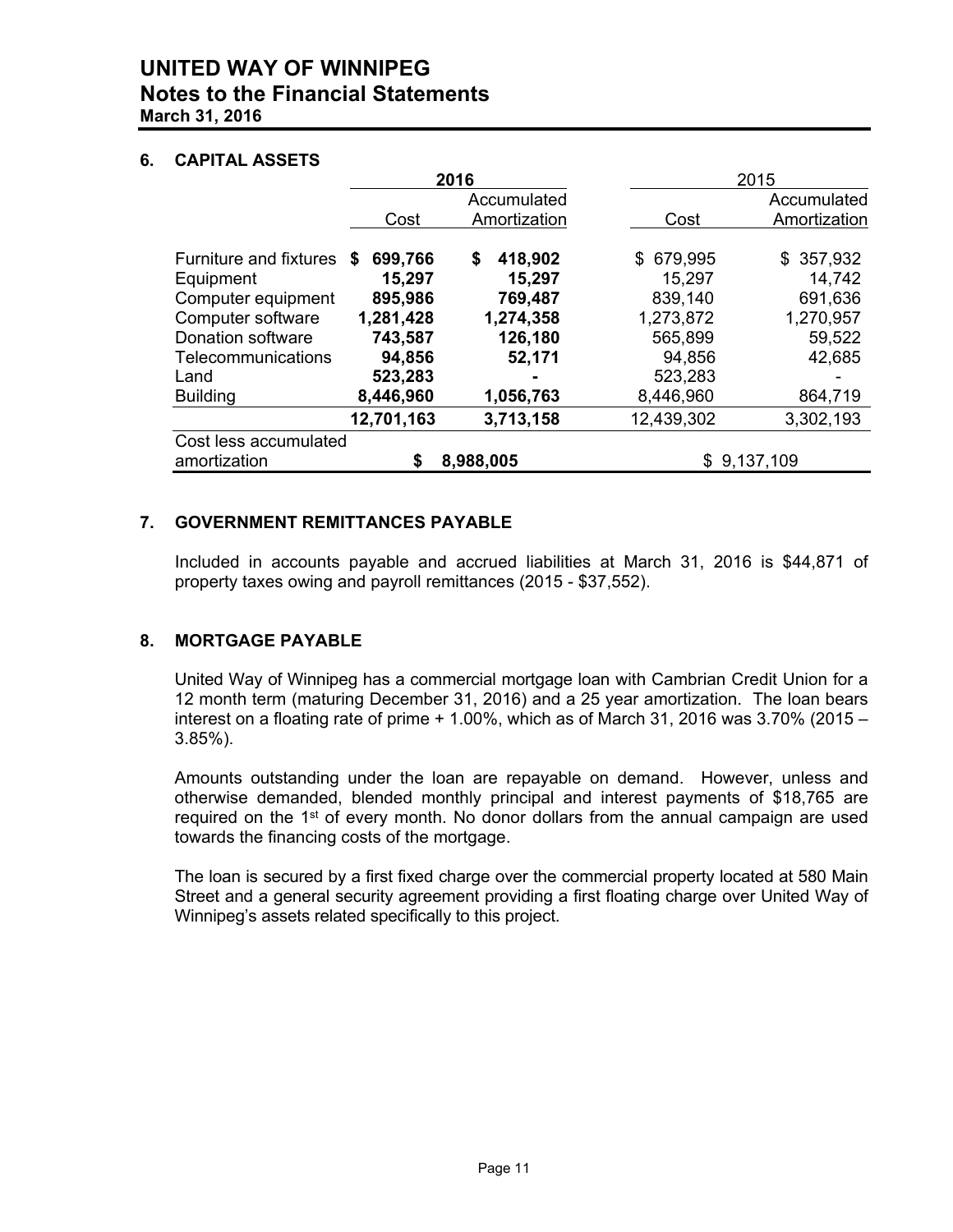# **UNITED WAY OF WINNIPEG Notes to the Financial Statements March 31, 2016**

# **6. CAPITAL ASSETS**

|                                       |                        | 2016                        |                      | 2015                        |
|---------------------------------------|------------------------|-----------------------------|----------------------|-----------------------------|
|                                       | Cost                   | Accumulated<br>Amortization | Cost                 | Accumulated<br>Amortization |
| Furniture and fixtures<br>Equipment   | 699,766<br>S<br>15,297 | 418,902<br>\$<br>15,297     | \$ 679,995<br>15,297 | \$357,932<br>14,742         |
| Computer equipment                    | 895,986                | 769,487                     | 839,140              | 691,636                     |
| Computer software                     | 1,281,428              | 1,274,358                   | 1,273,872            | 1,270,957                   |
| Donation software                     | 743,587                | 126,180                     | 565,899              | 59,522                      |
| Telecommunications                    | 94,856                 | 52,171                      | 94,856               | 42,685                      |
| Land                                  | 523,283                | $\blacksquare$              | 523,283              |                             |
| <b>Building</b>                       | 8,446,960              | 1,056,763                   | 8,446,960            | 864,719                     |
|                                       | 12,701,163             | 3,713,158                   | 12,439,302           | 3,302,193                   |
| Cost less accumulated<br>amortization | \$                     | 8,988,005                   |                      | \$9,137,109                 |

# **7. GOVERNMENT REMITTANCES PAYABLE**

 Included in accounts payable and accrued liabilities at March 31, 2016 is \$44,871 of property taxes owing and payroll remittances (2015 - \$37,552).

# **8. MORTGAGE PAYABLE**

 United Way of Winnipeg has a commercial mortgage loan with Cambrian Credit Union for a 12 month term (maturing December 31, 2016) and a 25 year amortization. The loan bears interest on a floating rate of prime  $+1.00\%$ , which as of March 31, 2016 was 3.70% (2015 – 3.85%).

 Amounts outstanding under the loan are repayable on demand. However, unless and otherwise demanded, blended monthly principal and interest payments of \$18,765 are required on the  $1<sup>st</sup>$  of every month. No donor dollars from the annual campaign are used towards the financing costs of the mortgage.

 The loan is secured by a first fixed charge over the commercial property located at 580 Main Street and a general security agreement providing a first floating charge over United Way of Winnipeg's assets related specifically to this project.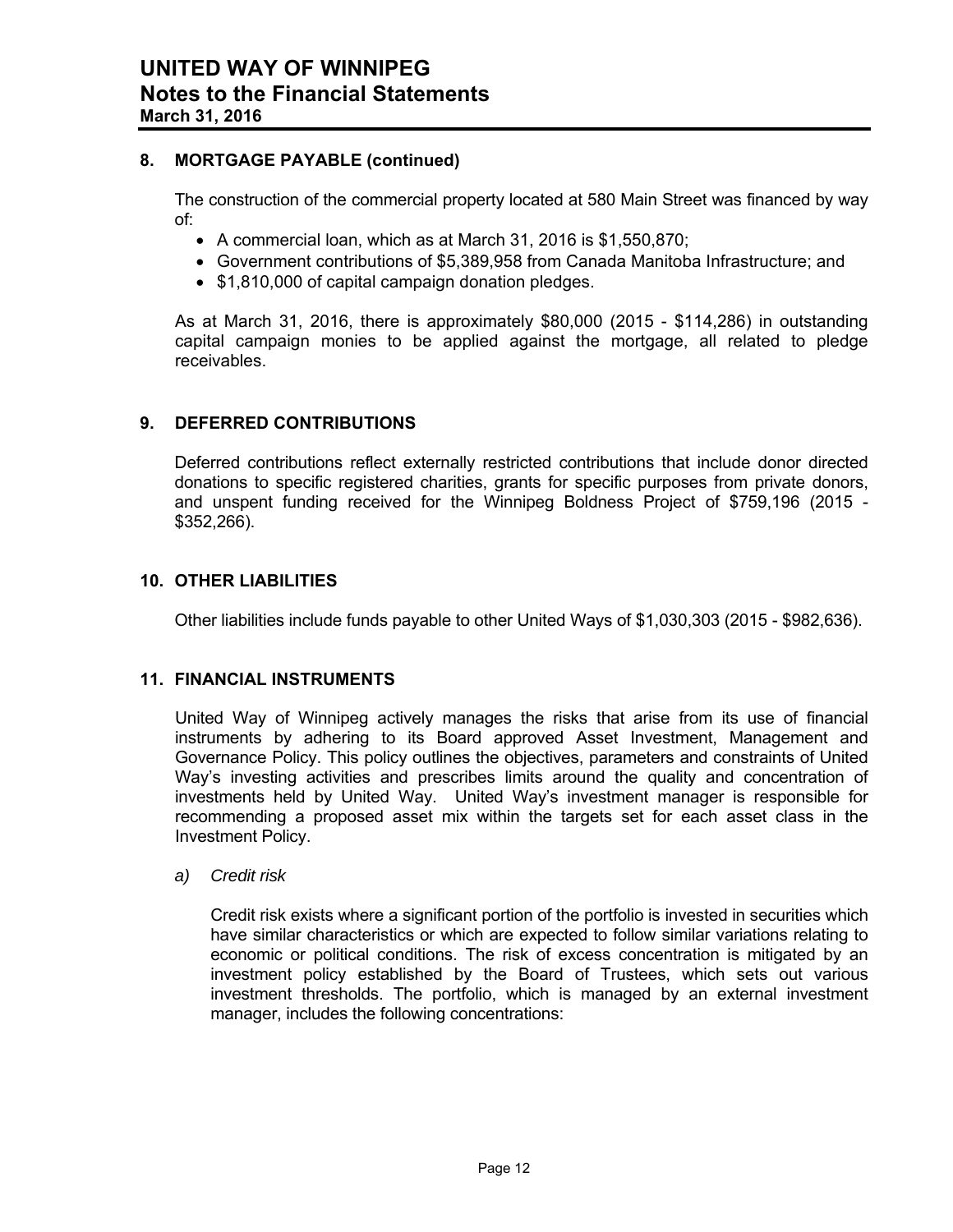# **8. MORTGAGE PAYABLE (continued)**

 The construction of the commercial property located at 580 Main Street was financed by way of:

- A commercial loan, which as at March 31, 2016 is \$1,550,870;
- Government contributions of \$5,389,958 from Canada Manitoba Infrastructure; and
- \$1,810,000 of capital campaign donation pledges.

As at March 31, 2016, there is approximately \$80,000 (2015 - \$114,286) in outstanding capital campaign monies to be applied against the mortgage, all related to pledge receivables.

## **9. DEFERRED CONTRIBUTIONS**

Deferred contributions reflect externally restricted contributions that include donor directed donations to specific registered charities, grants for specific purposes from private donors, and unspent funding received for the Winnipeg Boldness Project of \$759,196 (2015 - \$352,266).

## **10. OTHER LIABILITIES**

Other liabilities include funds payable to other United Ways of \$1,030,303 (2015 - \$982,636).

## **11. FINANCIAL INSTRUMENTS**

United Way of Winnipeg actively manages the risks that arise from its use of financial instruments by adhering to its Board approved Asset Investment, Management and Governance Policy. This policy outlines the objectives, parameters and constraints of United Way's investing activities and prescribes limits around the quality and concentration of investments held by United Way. United Way's investment manager is responsible for recommending a proposed asset mix within the targets set for each asset class in the Investment Policy.

*a) Credit risk* 

Credit risk exists where a significant portion of the portfolio is invested in securities which have similar characteristics or which are expected to follow similar variations relating to economic or political conditions. The risk of excess concentration is mitigated by an investment policy established by the Board of Trustees, which sets out various investment thresholds. The portfolio, which is managed by an external investment manager, includes the following concentrations: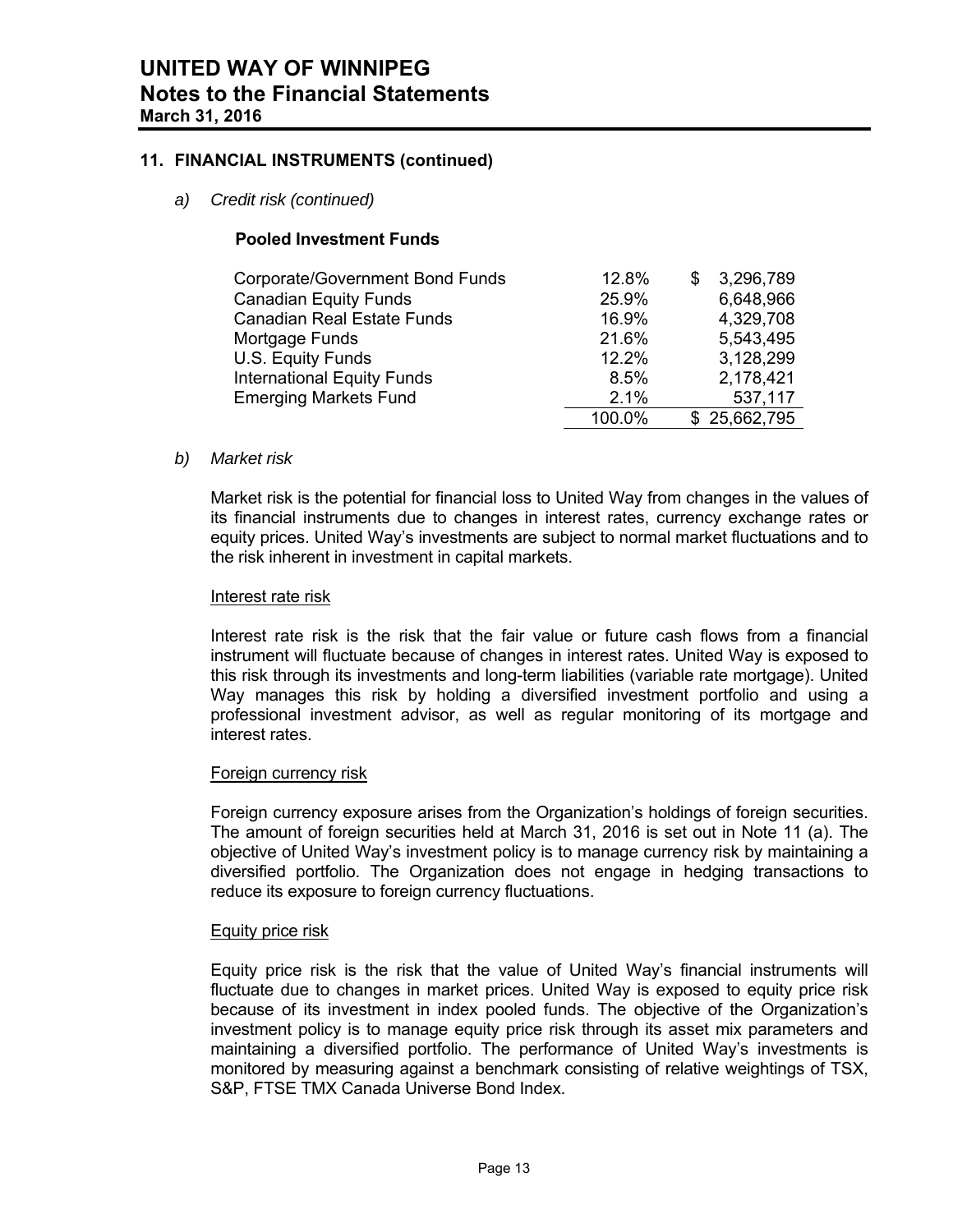## **11. FINANCIAL INSTRUMENTS (continued)**

*a) Credit risk (continued)* 

## **Pooled Investment Funds**

| Corporate/Government Bond Funds   | 12.8%  | 3,296,789    |
|-----------------------------------|--------|--------------|
| <b>Canadian Equity Funds</b>      | 25.9%  | 6,648,966    |
| <b>Canadian Real Estate Funds</b> | 16.9%  | 4,329,708    |
| Mortgage Funds                    | 21.6%  | 5,543,495    |
| U.S. Equity Funds                 | 12.2%  | 3,128,299    |
| <b>International Equity Funds</b> | 8.5%   | 2,178,421    |
| <b>Emerging Markets Fund</b>      | 2.1%   | 537,117      |
|                                   | 100.0% | \$25,662,795 |

## *b) Market risk*

Market risk is the potential for financial loss to United Way from changes in the values of its financial instruments due to changes in interest rates, currency exchange rates or equity prices. United Way's investments are subject to normal market fluctuations and to the risk inherent in investment in capital markets.

## Interest rate risk

Interest rate risk is the risk that the fair value or future cash flows from a financial instrument will fluctuate because of changes in interest rates. United Way is exposed to this risk through its investments and long-term liabilities (variable rate mortgage). United Way manages this risk by holding a diversified investment portfolio and using a professional investment advisor, as well as regular monitoring of its mortgage and interest rates.

## Foreign currency risk

Foreign currency exposure arises from the Organization's holdings of foreign securities. The amount of foreign securities held at March 31, 2016 is set out in Note 11 (a). The objective of United Way's investment policy is to manage currency risk by maintaining a diversified portfolio. The Organization does not engage in hedging transactions to reduce its exposure to foreign currency fluctuations.

#### Equity price risk

Equity price risk is the risk that the value of United Way's financial instruments will fluctuate due to changes in market prices. United Way is exposed to equity price risk because of its investment in index pooled funds. The objective of the Organization's investment policy is to manage equity price risk through its asset mix parameters and maintaining a diversified portfolio. The performance of United Way's investments is monitored by measuring against a benchmark consisting of relative weightings of TSX, S&P, FTSE TMX Canada Universe Bond Index.